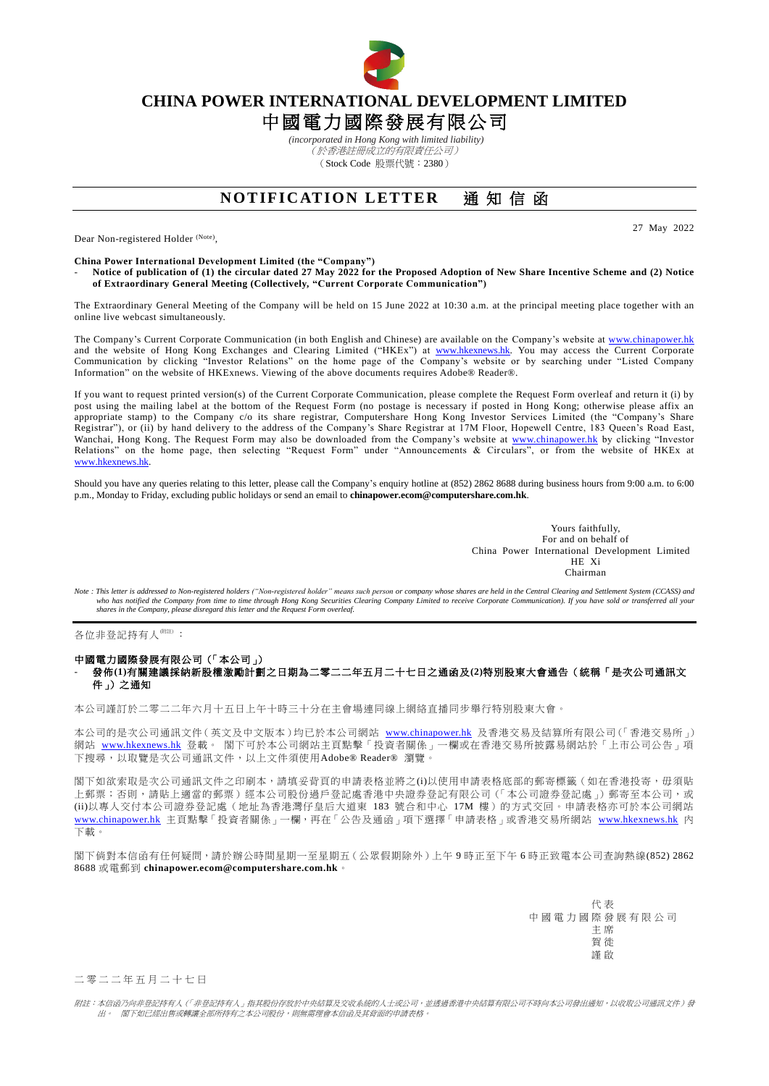

## **CHINA POWER INTERNATIONAL DEVELOPMENT LIMITED**

# 中國電力國際發展有限公司

*(incorporated in Hong Kong with limited liability)* (於香港註冊成立的有限責任公司) (Stock Code 股票代號:2380)

### **NOTIFICATION LETTER** 涌知信函

Dear Non-registered Holder (Note),

27 May 2022

**China Power International Development Limited (the "Company")**

- **Notice of publication of (1) the circular dated 27 May 2022 for the Proposed Adoption of New Share Incentive Scheme and (2) Notice of Extraordinary General Meeting (Collectively, "Current Corporate Communication")**

The Extraordinary General Meeting of the Company will be held on 15 June 2022 at 10:30 a.m. at the principal meeting place together with an online live webcast simultaneously.

The Company's Current Corporate Communication (in both English and Chinese) are available on the Company's website at [www.chinapower.hk](http://www.chinapower.hk/) and the website of Hong Kong Exchanges and Clearing Limited ("HKEx") at [www.hkexnews.hk.](http://www.hkexnews.hk/) You may access the Current Corporate Communication by clicking "Investor Relations" on the home page of the Company's website or by searching under "Listed Company Information" on the website of HKExnews. Viewing of the above documents requires Adobe® Reader®.

If you want to request printed version(s) of the Current Corporate Communication, please complete the Request Form overleaf and return it (i) by post using the mailing label at the bottom of the Request Form (no postage is necessary if posted in Hong Kong; otherwise please affix an appropriate stamp) to the Company c/o its share registrar, Computershare Hong Kong Investor Services Limited (the "Company's Share Registrar"), or (ii) by hand delivery to the address of the Company's Share Registrar at 17M Floor, Hopewell Centre, 183 Queen's Road East, Wanchai, Hong Kong. The Request Form may also be downloaded from the Company's website at [www.chinapower.hk](http://www.chinapower.hk/) by clicking "Investor Relations" on the home page, then selecting "Request Form" under "Announcements & Circulars", or from the website of HKEx at [www.hkexnews.hk.](http://www.hkexnews.hk/)

Should you have any queries relating to this letter, please call the Company's enquiry hotline at (852) 2862 8688 during business hours from 9:00 a.m. to 6:00 p.m., Monday to Friday, excluding public holidays or send an email to **[chinapower.ecom@computershare.com.hk](mailto:chinapower.ecom@computershare.com.hk)**.

> Yours faithfully, For and on behalf of China Power International Development Limited HE Xi Chairman

Note : This letter is addressed to Non-registered holders ("Non-registered holder" means such person or company whose shares are held in the Central Clearing and Settlement System (CCASS) and<br>who has notified the Company f

各位非登記持有人<sup>(附注)</sup>:

### 中國電力國際發展有限公司(「本公司」) - 發佈**(1)**有關建議採納新股權激勵計劃之日期為二零二二年五月二十七日之通函及**(2)**特別股東大會通告(統稱「是次公司通訊文 件」)之通知

本公司謹訂於二零二二年六月十五日上午十時三十分在主會場連同線上網絡直播同步舉行特別股東大會。

本公司的是次公司通訊文件(英文及中文版本)均已於本公司網站 [www.chinapower.hk](http://www.chinapower.hk/) 及香港交易及結算所有限公司(「香港交易所」) 網站 [www.hkexnews.hk](http://www.hkexnews.hk/) 登載。 閣下可於本公司網站主頁點擊「投資者關係」一欄或在香港交易所披露易網站於「上市公司公告」項 下搜尋,以取覽是次公司通訊文件,以上文件須使用Adobe® Reader® 瀏覽。

閣下如欲索取是次公司通訊文件之印刷本,請填妥背頁的申請表格並將之(i)以使用申請表格底部的郵寄標籤(如在香港投寄,毋須貼 上郵票;否則,請貼上適當的郵票)經本公司股份過戶登記處香港中央證券登記有限公司 (「本公司證券登記處」) 郵寄至本公司,或 (ii)以專人交付本公司證券登記處(地址為香港灣仔皇后大道東 183 號合和中心 17M 樓)的方式交回。申請表格亦可於本公司網站 [www.chinapower.hk](http://www.chinapower.hk/) 主頁點擊「投資者關係」一欄,再在「公告及通函」項下選擇「申請表格」或香港交易所網站 [www.hkexnews.hk](http://www.hkexnews.hk/) 內 下載。

閣下倘對本信函有任何疑問,請於辦公時間星期一至星期五(公眾假期除外)上午 9 時正至下午 6 時正致電本公司查詢熱線(852) 2862 8688 或電郵到 **[chinapower.ecom@computershare.com.hk](mailto:chinapower.ecom@computershare.com.hk)**。

> 代 表 中國電力國際發展有限公司 主 席 賀 徙 謹 啟

### 二 零 二 二 年 五 月 二 十 七 日

附註:本信函乃向非登記持有人(「非登記持有人」指其股份存放於中央結算及交收系統的人士或公司,並透過香港中央結算有限公司不時向本公司發出通知,以收取公司通訊文件)發 出。 閣下如已經出售或轉讓全部所持有之本公司股份,則無需理會本信函及其背面的申請表格。